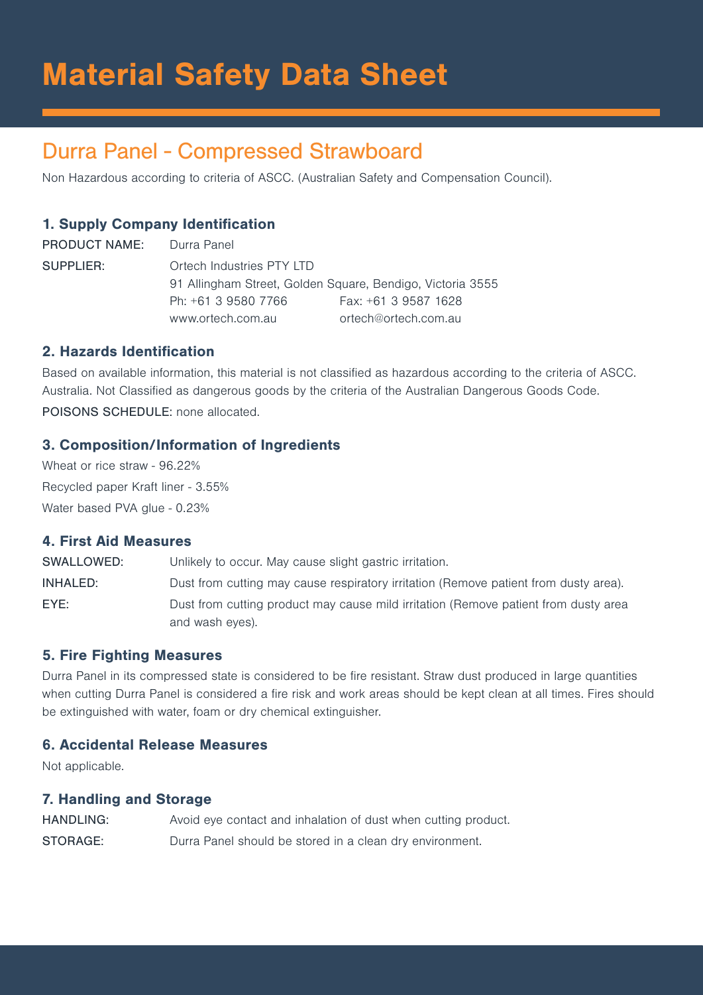# Material Safety Data Sheet

# Durra Panel - Compressed Strawboard

Non Hazardous according to criteria of ASCC. (Australian Safety and Compensation Council).

# 1. Supply Company Identification

PRODUCT NAME: Durra Panel SUPPLIER: Ortech Industries PTY LTD 91 Allingham Street, Golden Square, Bendigo, Victoria 3555 Ph: +61 3 9580 7766 Fax: +61 3 9587 1628 www.ortech.com.au ortech@ortech.com.au

# 2. Hazards Identification

Based on available information, this material is not classified as hazardous according to the criteria of ASCC. Australia. Not Classified as dangerous goods by the criteria of the Australian Dangerous Goods Code. POISONS SCHEDULE: none allocated.

# 3. Composition/Information of Ingredients

Wheat or rice straw - 96.22% Recycled paper Kraft liner - 3.55% Water based PVA glue - 0.23%

## 4. First Aid Measures

SWALLOWED: Unlikely to occur. May cause slight gastric irritation. INHALED: Dust from cutting may cause respiratory irritation (Remove patient from dusty area). EYE: Dust from cutting product may cause mild irritation (Remove patient from dusty area and wash eyes).

# 5. Fire Fighting Measures

Durra Panel in its compressed state is considered to be fire resistant. Straw dust produced in large quantities when cutting Durra Panel is considered a fire risk and work areas should be kept clean at all times. Fires should be extinguished with water, foam or dry chemical extinguisher.

#### 6. Accidental Release Measures

Not applicable.

#### 7. Handling and Storage

HANDLING: Avoid eye contact and inhalation of dust when cutting product. STORAGE: Durra Panel should be stored in a clean dry environment.